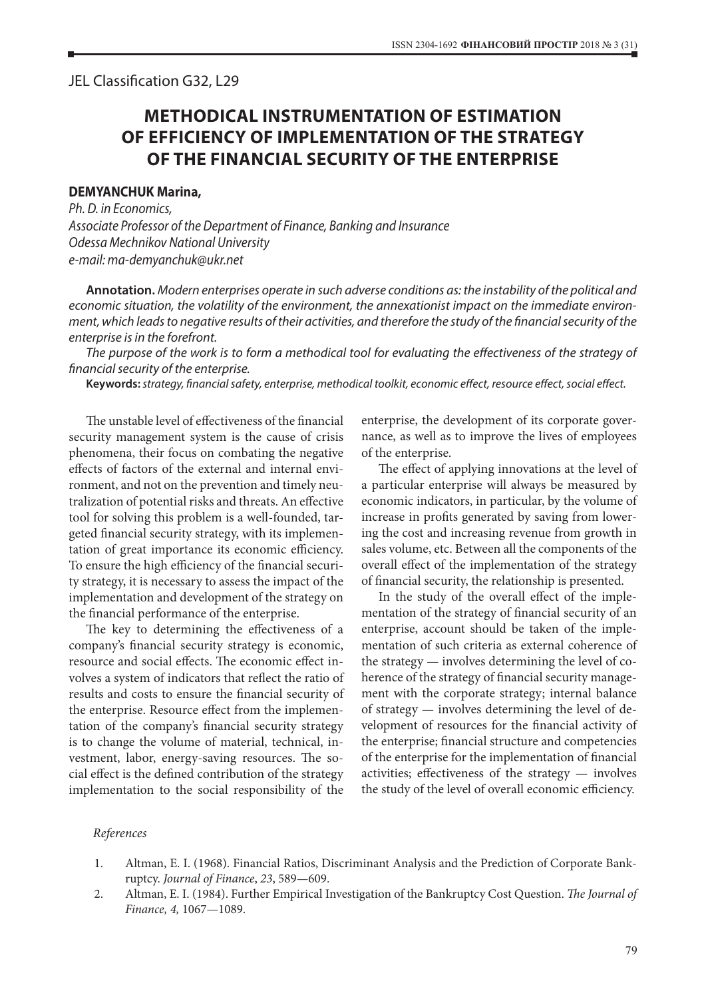JEL Classification G32, L29

## **METHODICAL INSTRUMENTATION OF ESTIMATION OF EFFICIENCY OF IMPLEMENTATION OF THE STRATEGY OF THE FINANCIAL SECURITY OF THE ENTERPRISE**

## **DEMYANCHUK Мarina,**

*Ph. D. in Economics, Associate Professor of the Department of Finance, Banking and Insurance Odessa Mechnikov National University e-mail: ma-demyanchuk@ukr.net*

**Annotation.** *Modern enterprises operate in such adverse conditions as: the instability of the political and economic situation, the volatility of the environment, the annexationist impact on the immediate environment, which leads to negative results of their activities, and therefore the study of the financial security of the enterprise is in the forefront.*

*The purpose of the work is to form a methodical tool for evaluating the effectiveness of the strategy of financial security of the enterprise.*

**Keywords:** *strategy, financial safety, enterprise, methodical toolkit, economic effect, resource effect, social effect.*

The unstable level of effectiveness of the financial security management system is the cause of crisis phenomena, their focus on combating the negative effects of factors of the external and internal environment, and not on the prevention and timely neutralization of potential risks and threats. An effective tool for solving this problem is a well-founded, targeted financial security strategy, with its implementation of great importance its economic efficiency. To ensure the high efficiency of the financial security strategy, it is necessary to assess the impact of the implementation and development of the strategy on the financial performance of the enterprise.

The key to determining the effectiveness of a company's financial security strategy is economic, resource and social effects. The economic effect involves a system of indicators that reflect the ratio of results and costs to ensure the financial security of the enterprise. Resource effect from the implementation of the company's financial security strategy is to change the volume of material, technical, investment, labor, energy-saving resources. The social effect is the defined contribution of the strategy implementation to the social responsibility of the

enterprise, the development of its corporate governance, as well as to improve the lives of employees of the enterprise.

The effect of applying innovations at the level of a particular enterprise will always be measured by economic indicators, in particular, by the volume of increase in profits generated by saving from lowering the cost and increasing revenue from growth in sales volume, etc. Between all the components of the overall effect of the implementation of the strategy of financial security, the relationship is presented.

In the study of the overall effect of the implementation of the strategy of financial security of an enterprise, account should be taken of the implementation of such criteria as external coherence of the strategy — involves determining the level of coherence of the strategy of financial security management with the corporate strategy; internal balance of strategy — involves determining the level of development of resources for the financial activity of the enterprise; financial structure and competencies of the enterprise for the implementation of financial activities; effectiveness of the strategy — involves the study of the level of overall economic efficiency.

## *References*

- 1. Altman, E. I. (1968). Financial Ratios, Discriminant Analysis and the Prediction of Corporate Bankruptcy. *Journal of Finance*, *23*, 589—609.
- 2. Altman, E. I. (1984). Further Empirical Investigation of the Bankruptcy Cost Question. *The Journal of Finance, 4,* 1067—1089.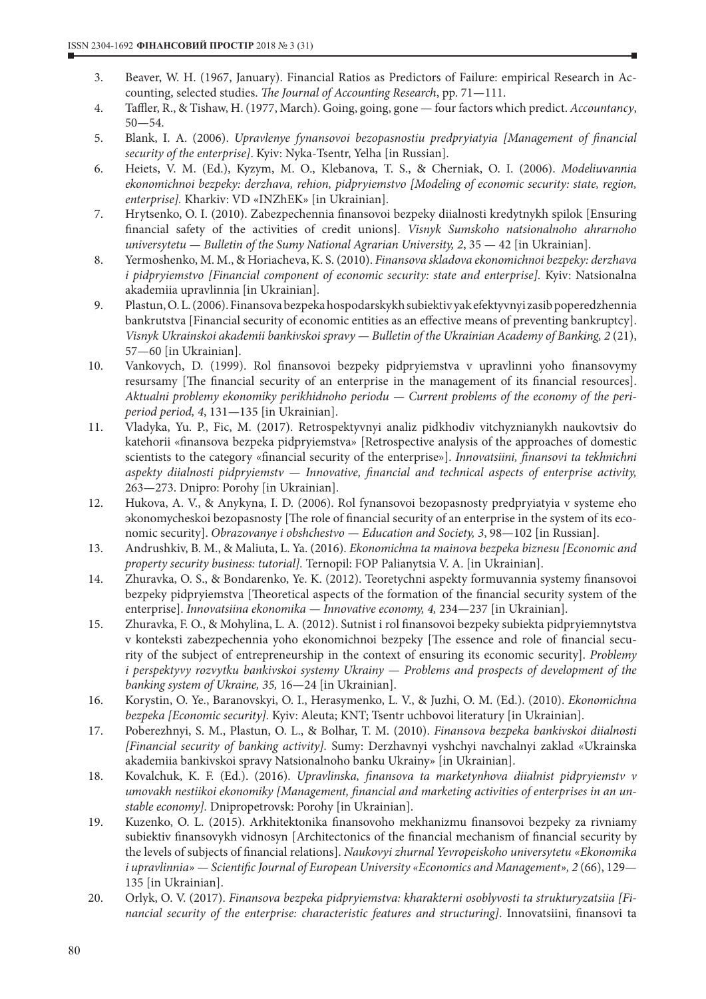- 3. Beaver, W. H. (1967, January). Financial Ratios as Predictors of Failure: empirical Research in Accounting, selected studies. *The Journal of Accounting Research*, pp. 71—111.
- 4. Taffler, R., & Tishaw, H. (1977, March). Going, going, gone four factors which predict. *Accountancy*, 50—54.
- 5. Blank, I. A. (2006). *Upravlenye fynansovoi bezopasnostiu predpryiatyia [Management of financial security of the enterprise]*. Kyiv: Nyka-Tsentr, Yelha [in Russian].
- 6. Heiets, V. M. (Ed.), Kyzym, M. O., Klebanova, T. S., & Cherniak, O. I. (2006). *Modeliuvannia ekonomichnoi bezpeky: derzhava, rehion, pidpryiemstvo [Modeling of economic security: state, region, enterprise].* Kharkiv: VD «INZhEK» [in Ukrainian].
- 7. Hrytsenko, O. I. (2010). Zabezpechennia finansovoi bezpeky diialnosti kredytnykh spilok [Ensuring financial safety of the activities of credit unions]. *Visnyk Sumskoho natsionalnoho ahrarnoho universytetu — Bulletin of the Sumy National Agrarian University, 2*, 35 — 42 [in Ukrainian].
- 8. Yermoshenko, M. M., & Horiacheva, K. S. (2010). *Finansova skladova ekonomichnoi bezpeky: derzhava i pidpryiemstvo [Financial component of economic security: state and enterprise].* Kyiv: Natsionalna akademiia upravlinnia [in Ukrainian].
- 9. Plastun, O.L. (2006). Finansova bezpeka hospodarskykh subiektiv yak efektyvnyi zasib poperedzhennia bankrutstva [Financial security of economic entities as an effective means of preventing bankruptcy]. *Visnyk Ukrainskoi akademii bankivskoi spravy — Bulletin of the Ukrainian Academy of Banking, 2* (21), 57—60 [in Ukrainian].
- 10. Vankovych, D. (1999). Rol finansovoi bezpeky pidpryiemstva v upravlinni yoho finansovymy resursamy [The financial security of an enterprise in the management of its financial resources]. *Aktualni problemy ekonomiky perikhidnoho periodu — Current problems of the economy of the periperiod period, 4*, 131—135 [in Ukrainian].
- 11. Vladyka, Yu. P., Fic, M. (2017). Retrospektyvnyi analiz pidkhodiv vitchyznianykh naukovtsiv do katehorii «finansova bezpeka pidpryiemstva» [Retrospective analysis of the approaches of domestic scientists to the category «financial security of the enterprise»]. *Innovatsiini, finansovi ta tekhnichni aspekty diialnosti pidpryiemstv — Innovative, financial and technical aspects of enterprise activity,* 263—273. Dnipro: Porohy [in Ukrainian].
- 12. Hukova, A. V., & Anykyna, I. D. (2006). Rol fynansovoi bezopasnosty predpryiatyia v systeme eho эkonomycheskoi bezopasnosty [The role of financial security of an enterprise in the system of its economic security]. *Obrazovanye і obshchestvo — Education and Society, 3*, 98—102 [in Russian].
- 13. Andrushkiv, B. M., & Maliuta, L. Ya. (2016). *Ekonomichna ta mainova bezpeka biznesu [Economic and property security business: tutorial].* Ternopil: FOP Palianytsia V. A. [in Ukrainian].
- 14. Zhuravka, O. S., & Bondarenko, Ye. K. (2012). Teoretychni aspekty formuvannia systemy finansovoi bezpeky pidpryiemstva [Theoretical aspects of the formation of the financial security system of the enterprise]. *Innovatsiina ekonomika — Innovative economy, 4,* 234—237 [in Ukrainian].
- 15. Zhuravka, F. O., & Mohylina, L. A. (2012). Sutnist i rol finansovoi bezpeky subiekta pidpryiemnytstva v konteksti zabezpechennia yoho ekonomichnoi bezpeky [The essence and role of financial security of the subject of entrepreneurship in the context of ensuring its economic security]. *Problemy i perspektyvy rozvytku bankivskoi systemy Ukrainy — Problems and prospects of development of the banking system of Ukraine, 35,* 16—24 [in Ukrainian].
- 16. Korystin, O. Ye., Baranovskyi, O. I., Herasymenko, L. V., & Juzhi, O. M. (Ed.). (2010). *Ekonomichna bezpeka [Economic security].* Kyiv: Aleuta; KNT; Tsentr uchbovoi literatury [in Ukrainian].
- 17. Poberezhnyi, S. M., Plastun, O. L., & Bolhar, T. M. (2010). *Finansova bezpeka bankivskoi diialnosti [Financial security of banking activity].* Sumy: Derzhavnyi vyshchyi navchalnyi zaklad «Ukrainska akademiia bankivskoi spravy Natsionalnoho banku Ukrainy» [in Ukrainian].
- 18. Kovalchuk, K. F. (Ed.). (2016). *Upravlinska, finansova ta marketynhova diialnist pidpryiemstv v umovakh nestiikoi ekonomiky [Management, financial and marketing activities of enterprises in an unstable economy].* Dnipropetrovsk: Porohy [in Ukrainian].
- 19. Kuzenko, O. L. (2015). Arkhitektonika finansovoho mekhanizmu finansovoi bezpeky za rivniamy subiektiv finansovykh vidnosyn [Architectonics of the financial mechanism of financial security by the levels of subjects of financial relations]. *Naukovyi zhurnal Yevropeiskoho universytetu «Ekonomika i upravlinnia» — Scientific Journal of European University «Economics and Management», 2* (66), 129— 135 [in Ukrainian].
- 20. Orlyk, O. V. (2017). *Finansova bezpeka pidpryiemstva: kharakterni osoblyvosti ta strukturyzatsiia [Financial security of the enterprise: characteristic features and structuring]*. Innovatsiini, finansovi ta